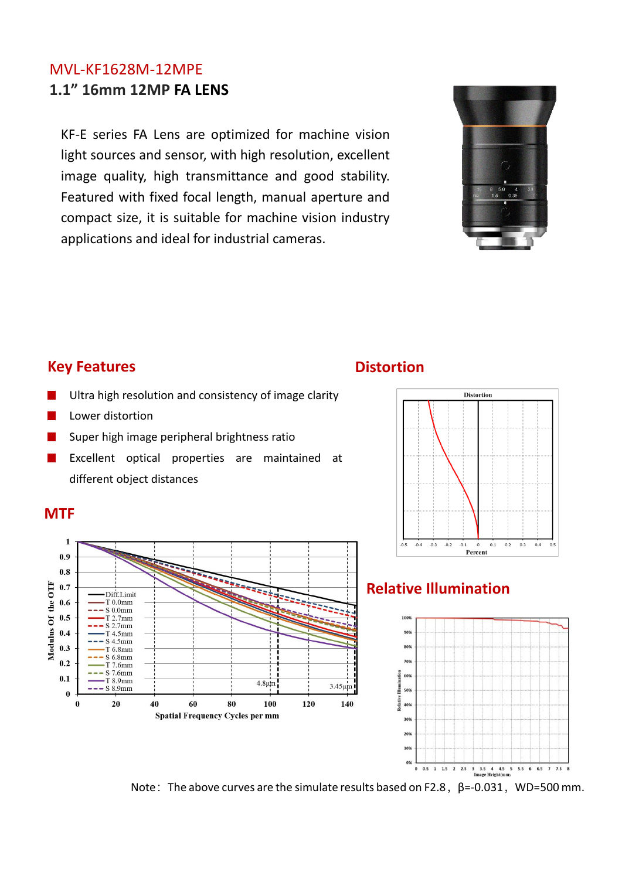#### MVL-KF1628M-12MPE **1.1" 16mm 12MP FA LENS**

KF-E series FA Lens are optimized for machine vision light sources and sensor, with high resolution, excellent image quality, high transmittance and good stability. Featured with fixed focal length, manual aperture and compact size, it is suitable for machine vision industry applications and ideal for industrial cameras.



#### **Key Features**

- Ultra high resolution and consistency of image clarity
- Lower distortion
- Super high image peripheral brightness ratio
- Excellent optical properties are maintained at different object distances

#### **MTF**



### **Distortion**



#### **Relative Illumination**



Note: The above curves are the simulate results based on F2.8,  $\beta$ =-0.031, WD=500 mm.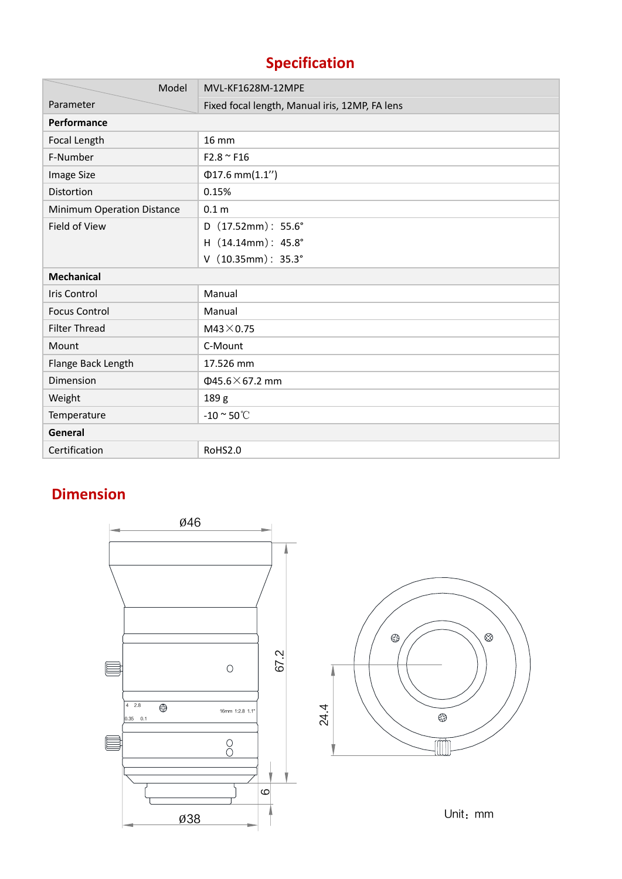# **Specification**

| Model                      | MVL-KF1628M-12MPE                              |  |  |  |  |
|----------------------------|------------------------------------------------|--|--|--|--|
| Parameter                  | Fixed focal length, Manual iris, 12MP, FA lens |  |  |  |  |
| Performance                |                                                |  |  |  |  |
| Focal Length               | <b>16 mm</b>                                   |  |  |  |  |
| F-Number                   | $F2.8 \sim F16$                                |  |  |  |  |
| Image Size                 | $\Phi$ 17.6 mm $(1.1'')$                       |  |  |  |  |
| Distortion                 | 0.15%                                          |  |  |  |  |
| Minimum Operation Distance | 0.1 <sub>m</sub>                               |  |  |  |  |
| Field of View              | D $(17.52mm)$ : 55.6°                          |  |  |  |  |
|                            | H (14.14mm): 45.8°                             |  |  |  |  |
|                            | $V$ (10.35mm): 35.3°                           |  |  |  |  |
| <b>Mechanical</b>          |                                                |  |  |  |  |
| <b>Iris Control</b>        | Manual                                         |  |  |  |  |
| <b>Focus Control</b>       | Manual                                         |  |  |  |  |
| <b>Filter Thread</b>       | $M43\times 0.75$                               |  |  |  |  |
| Mount                      | C-Mount                                        |  |  |  |  |
| Flange Back Length         | 17.526 mm                                      |  |  |  |  |
| Dimension                  | $\Phi$ 45.6 $\times$ 67.2 mm                   |  |  |  |  |
| Weight                     | 189 g                                          |  |  |  |  |
| Temperature                | -10 $\degree$ 50 $\degree$ C                   |  |  |  |  |
| <b>General</b>             |                                                |  |  |  |  |
| Certification              | RoHS2.0                                        |  |  |  |  |

## **Dimension**





Unit: mm